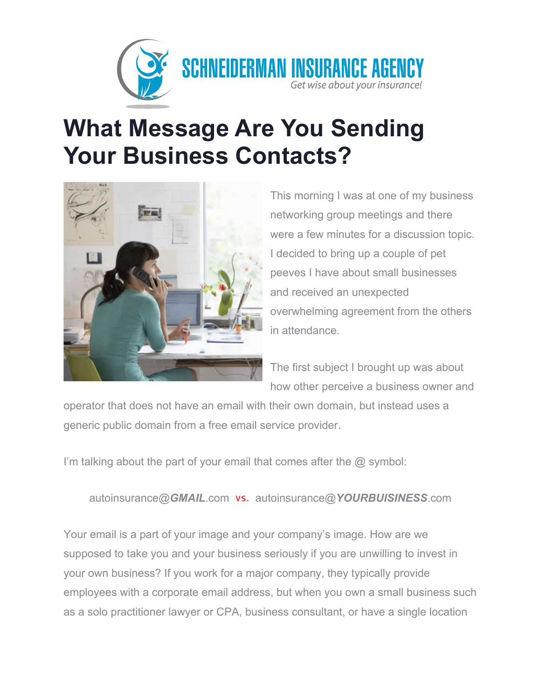

## **What Message Are You Sending Your Business Contacts?**



This morning I was at one of my business networking group meetings and there were a few minutes for a discussion topic. I decided to bring up a couple of pet peeves I have about small businesses and received an unexpected overwhelming agreement from the others in attendance.

The first subject I brought up was about how other perceive a business owner and

operator that does not have an email with their own domain, but instead uses a generic public domain from a free email service provider.

I'm talking about the part of your email that comes after the @ symbol:

autoinsurance@*GMAIL*.com vs. autoinsurance@*YOURBUISINESS*.com

Your email is a part of your image and your company's image. How are we supposed to take you and your business seriously if you are unwilling to invest in your own business? If you work for a major company, they typically provide employees with a corporate email address, but when you own a small business such as a solo practitioner lawyer or CPA, business consultant, or have a single location